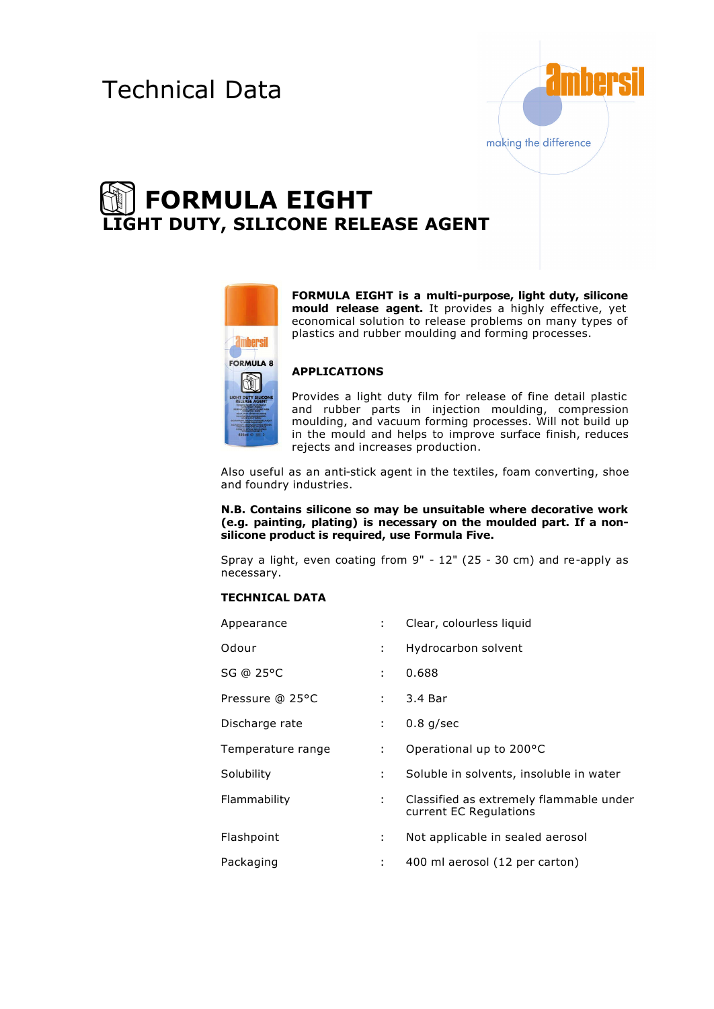# Technical Data



# **FORMULA EIGHT LIGHT DUTY, SILICONE RELEASE AGENT**



**FORMULA EIGHT is a multi-purpose, light duty, silicone mould release agent.** It provides a highly effective, yet economical solution to release problems on many types of plastics and rubber moulding and forming processes.

# **APPLICATIONS**

Provides a light duty film for release of fine detail plastic and rubber parts in injection moulding, compression moulding, and vacuum forming processes. Will not build up in the mould and helps to improve surface finish, reduces rejects and increases production.

Also useful as an anti-stick agent in the textiles, foam converting, shoe and foundry industries.

#### **N.B. Contains silicone so may be unsuitable where decorative work (e.g. painting, plating) is necessary on the moulded part. If a nonsilicone product is required, use Formula Five.**

Spray a light, even coating from 9" - 12" (25 - 30 cm) and re-apply as necessary.

## **TECHNICAL DATA**

| Appearance        | $\mathcal{L}$               | Clear, colourless liquid                                          |
|-------------------|-----------------------------|-------------------------------------------------------------------|
| Odour             | ÷                           | Hydrocarbon solvent                                               |
| SG @ 25°C         | ÷                           | 0.688                                                             |
| Pressure @ 25°C   | ÷                           | 3.4 Bar                                                           |
| Discharge rate    | $\mathbf{L}$                | $0.8$ g/sec                                                       |
| Temperature range | $\mathcal{L}^{\mathcal{L}}$ | Operational up to 200°C                                           |
| Solubility        | ÷                           | Soluble in solvents, insoluble in water                           |
| Flammability      | ÷.                          | Classified as extremely flammable under<br>current EC Regulations |
| Flashpoint        | ÷                           | Not applicable in sealed aerosol                                  |
| Packaging         | ÷                           | 400 ml aerosol (12 per carton)                                    |